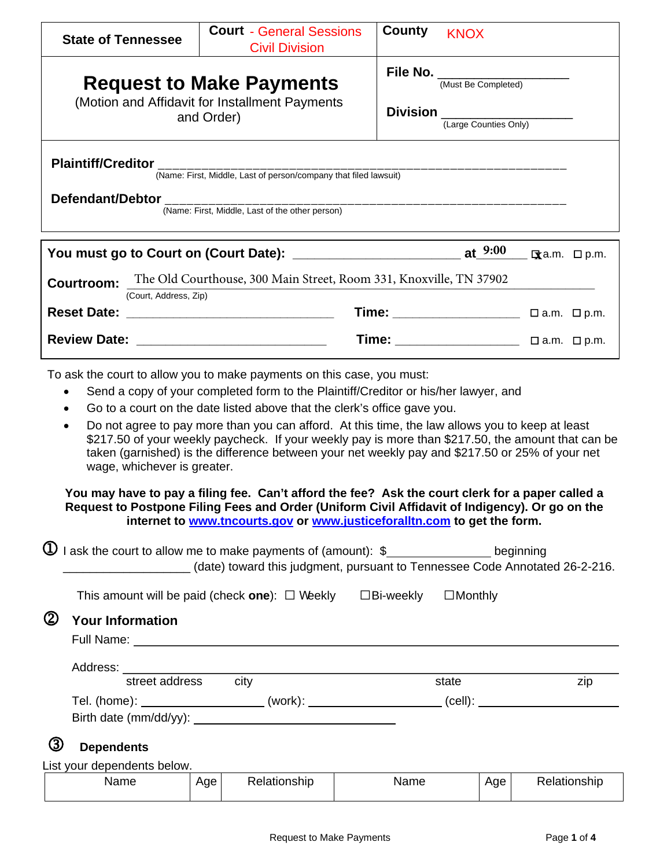| <b>File No.</b> (Must Be Completed)<br><b>Request to Make Payments</b><br>(Motion and Affidavit for Installment Payments<br>$Division$ $\frac{1}{(Large~Counties~Only)}$<br>and Order)<br>(Name: First, Middle, Last of the other person)<br>You must go to Court on (Court Date): __________________________________ at_9:00<br><b>Exa.m.</b> □ p.m.<br>The Old Courthouse, 300 Main Street, Room 331, Knoxville, TN 37902<br>(Court, Address, Zip)<br>Time: $\Box$ a.m. $\Box$ p.m.<br>To ask the court to allow you to make payments on this case, you must:<br>Send a copy of your completed form to the Plaintiff/Creditor or his/her lawyer, and<br>$\bullet$<br>Go to a court on the date listed above that the clerk's office gave you.<br>$\bullet$<br>Do not agree to pay more than you can afford. At this time, the law allows you to keep at least<br>$\bullet$<br>\$217.50 of your weekly paycheck. If your weekly pay is more than \$217.50, the amount that can be<br>taken (garnished) is the difference between your net weekly pay and \$217.50 or 25% of your net<br>wage, whichever is greater.<br>You may have to pay a filing fee. Can't afford the fee? Ask the court clerk for a paper called a<br>Request to Postpone Filing Fees and Order (Uniform Civil Affidavit of Indigency). Or go on the<br>internet to www.tncourts.gov or www.justiceforalltn.com to get the form.<br>I ask the court to allow me to make payments of (amount): \$__________________ beginning<br>$\mathbf U$<br>(date) toward this judgment, pursuant to Tennessee Code Annotated 26-2-216.<br>This amount will be paid (check one): $\Box$ Weekly $\Box$ Bi-weekly<br>$\Box$ Monthly<br><b>Your Information</b><br>Address:<br>street address city<br>state<br>zip<br>Tel. (home): ______________________(work): _____________________(cell): ___________________________ | <b>State of Tennessee</b>   | <b>Court - General Sessions</b><br><b>Civil Division</b> | County<br><b>KNOX</b> |  |
|---------------------------------------------------------------------------------------------------------------------------------------------------------------------------------------------------------------------------------------------------------------------------------------------------------------------------------------------------------------------------------------------------------------------------------------------------------------------------------------------------------------------------------------------------------------------------------------------------------------------------------------------------------------------------------------------------------------------------------------------------------------------------------------------------------------------------------------------------------------------------------------------------------------------------------------------------------------------------------------------------------------------------------------------------------------------------------------------------------------------------------------------------------------------------------------------------------------------------------------------------------------------------------------------------------------------------------------------------------------------------------------------------------------------------------------------------------------------------------------------------------------------------------------------------------------------------------------------------------------------------------------------------------------------------------------------------------------------------------------------------------------------------------------------------------------------------------------------------------------------------------|-----------------------------|----------------------------------------------------------|-----------------------|--|
|                                                                                                                                                                                                                                                                                                                                                                                                                                                                                                                                                                                                                                                                                                                                                                                                                                                                                                                                                                                                                                                                                                                                                                                                                                                                                                                                                                                                                                                                                                                                                                                                                                                                                                                                                                                                                                                                                 |                             |                                                          |                       |  |
|                                                                                                                                                                                                                                                                                                                                                                                                                                                                                                                                                                                                                                                                                                                                                                                                                                                                                                                                                                                                                                                                                                                                                                                                                                                                                                                                                                                                                                                                                                                                                                                                                                                                                                                                                                                                                                                                                 |                             |                                                          |                       |  |
|                                                                                                                                                                                                                                                                                                                                                                                                                                                                                                                                                                                                                                                                                                                                                                                                                                                                                                                                                                                                                                                                                                                                                                                                                                                                                                                                                                                                                                                                                                                                                                                                                                                                                                                                                                                                                                                                                 |                             |                                                          |                       |  |
|                                                                                                                                                                                                                                                                                                                                                                                                                                                                                                                                                                                                                                                                                                                                                                                                                                                                                                                                                                                                                                                                                                                                                                                                                                                                                                                                                                                                                                                                                                                                                                                                                                                                                                                                                                                                                                                                                 | <b>Courtroom:</b>           |                                                          |                       |  |
|                                                                                                                                                                                                                                                                                                                                                                                                                                                                                                                                                                                                                                                                                                                                                                                                                                                                                                                                                                                                                                                                                                                                                                                                                                                                                                                                                                                                                                                                                                                                                                                                                                                                                                                                                                                                                                                                                 |                             |                                                          |                       |  |
|                                                                                                                                                                                                                                                                                                                                                                                                                                                                                                                                                                                                                                                                                                                                                                                                                                                                                                                                                                                                                                                                                                                                                                                                                                                                                                                                                                                                                                                                                                                                                                                                                                                                                                                                                                                                                                                                                 |                             |                                                          |                       |  |
|                                                                                                                                                                                                                                                                                                                                                                                                                                                                                                                                                                                                                                                                                                                                                                                                                                                                                                                                                                                                                                                                                                                                                                                                                                                                                                                                                                                                                                                                                                                                                                                                                                                                                                                                                                                                                                                                                 |                             |                                                          |                       |  |
|                                                                                                                                                                                                                                                                                                                                                                                                                                                                                                                                                                                                                                                                                                                                                                                                                                                                                                                                                                                                                                                                                                                                                                                                                                                                                                                                                                                                                                                                                                                                                                                                                                                                                                                                                                                                                                                                                 |                             |                                                          |                       |  |
|                                                                                                                                                                                                                                                                                                                                                                                                                                                                                                                                                                                                                                                                                                                                                                                                                                                                                                                                                                                                                                                                                                                                                                                                                                                                                                                                                                                                                                                                                                                                                                                                                                                                                                                                                                                                                                                                                 | $^\mathrm{\odot}$           |                                                          |                       |  |
|                                                                                                                                                                                                                                                                                                                                                                                                                                                                                                                                                                                                                                                                                                                                                                                                                                                                                                                                                                                                                                                                                                                                                                                                                                                                                                                                                                                                                                                                                                                                                                                                                                                                                                                                                                                                                                                                                 |                             |                                                          |                       |  |
| (3)<br><b>Dependents</b><br>Name<br>Relationship<br>Name<br>Relationship<br>Age<br>Age                                                                                                                                                                                                                                                                                                                                                                                                                                                                                                                                                                                                                                                                                                                                                                                                                                                                                                                                                                                                                                                                                                                                                                                                                                                                                                                                                                                                                                                                                                                                                                                                                                                                                                                                                                                          | List your dependents below. |                                                          |                       |  |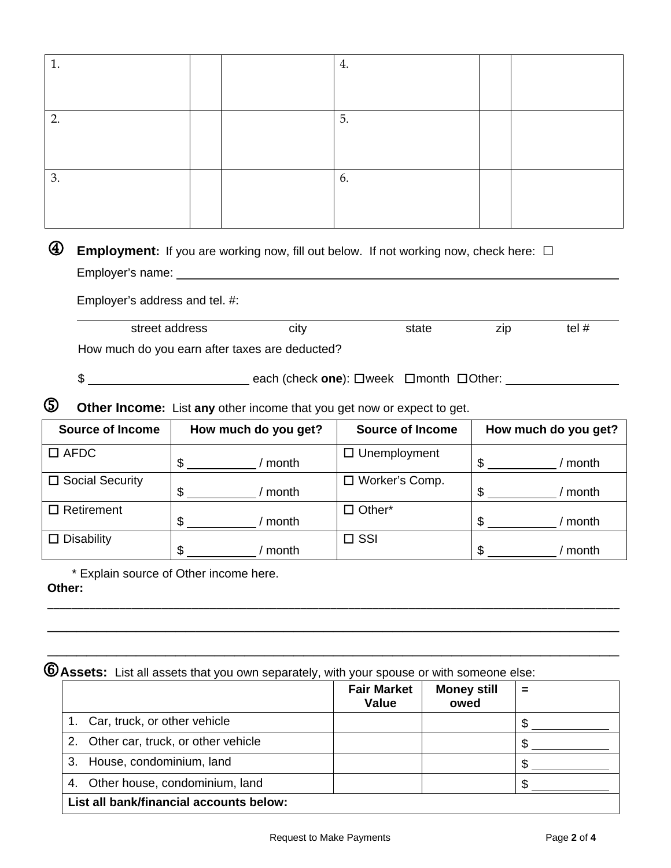|               |                                                  | 4.                  |                                                                                                                                                                                                                                                                                                                                    |                                                                                                                                                                                                                               |
|---------------|--------------------------------------------------|---------------------|------------------------------------------------------------------------------------------------------------------------------------------------------------------------------------------------------------------------------------------------------------------------------------------------------------------------------------|-------------------------------------------------------------------------------------------------------------------------------------------------------------------------------------------------------------------------------|
|               |                                                  | 5.                  |                                                                                                                                                                                                                                                                                                                                    |                                                                                                                                                                                                                               |
|               |                                                  | 6.                  |                                                                                                                                                                                                                                                                                                                                    |                                                                                                                                                                                                                               |
|               |                                                  |                     |                                                                                                                                                                                                                                                                                                                                    |                                                                                                                                                                                                                               |
|               | city                                             | state               | zip                                                                                                                                                                                                                                                                                                                                | tel $#$                                                                                                                                                                                                                       |
|               |                                                  |                     |                                                                                                                                                                                                                                                                                                                                    |                                                                                                                                                                                                                               |
|               |                                                  |                     |                                                                                                                                                                                                                                                                                                                                    | How much do you get?                                                                                                                                                                                                          |
| $$ -$         | / month                                          | $\Box$ Unemployment | $\frac{1}{2}$                                                                                                                                                                                                                                                                                                                      | / month                                                                                                                                                                                                                       |
|               | / month                                          | □ Worker's Comp.    | $\frac{1}{2}$                                                                                                                                                                                                                                                                                                                      | / month                                                                                                                                                                                                                       |
| $\frac{1}{2}$ | / month                                          | $\Box$ Other*       | $\mathsf{S}$                                                                                                                                                                                                                                                                                                                       | / month                                                                                                                                                                                                                       |
| \$            | / month                                          | $\Box$ SSI          | \$                                                                                                                                                                                                                                                                                                                                 | / month                                                                                                                                                                                                                       |
|               | Employer's address and tel. #:<br>street address |                     | Employer's name: The contract of the contract of the contract of the contract of the contract of the contract of the contract of the contract of the contract of the contract of the contract of the contract of the contract<br>How much do you earn after taxes are deducted?<br>How much do you get?<br><b>Source of Income</b> | <b>Employment:</b> If you are working now, fill out below. If not working now, check here: $\Box$<br><u>Deach (check</u> one): □week □month □Other:<br>Other Income: List any other income that you get now or expect to get. |

|                                         | <b>Fair Market</b><br>Value | <b>Money still</b><br>owed | = |
|-----------------------------------------|-----------------------------|----------------------------|---|
| 1. Car, truck, or other vehicle         |                             |                            |   |
| 2. Other car, truck, or other vehicle   |                             |                            |   |
| 3. House, condominium, land             |                             |                            |   |
| 4. Other house, condominium, land       |                             |                            |   |
| List all bank/financial accounts below: |                             |                            |   |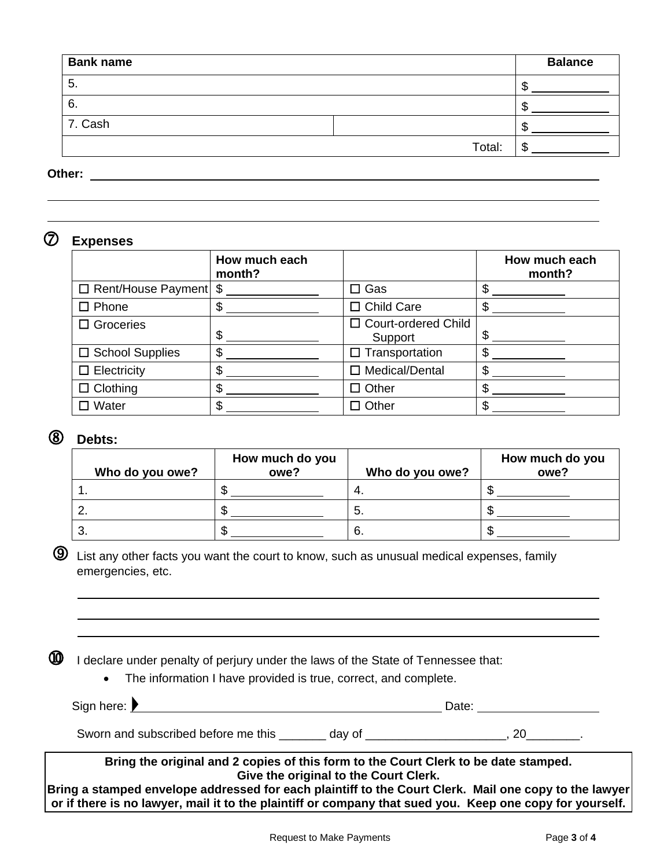| <b>Bank name</b> |        | <b>Balance</b> |
|------------------|--------|----------------|
| 5.               |        | ٨D             |
| 6.               |        | ۰D             |
| 7. Cash          |        | ۰D             |
|                  | Total: | æ<br>۰D        |

**Other:** 

## **Expenses**

|                               | How much each<br>month? |                                  | How much each<br>month? |
|-------------------------------|-------------------------|----------------------------------|-------------------------|
| $\Box$ Rent/House Payment $\$ |                         | $\Box$ Gas                       |                         |
| $\square$ Phone               | \$                      | $\Box$ Child Care                |                         |
| $\Box$ Groceries              | \$                      | □ Court-ordered Child<br>Support | \$                      |
| $\Box$ School Supplies        | \$                      | $\square$ Transportation         | \$                      |
| $\Box$ Electricity            | \$                      | □ Medical/Dental                 | \$                      |
| $\Box$ Clothing               | \$                      | $\Box$ Other                     | \$                      |
| Water                         | \$                      | コ Other                          | \$                      |

## **Debts:**

| Who do you owe? | How much do you<br>owe? | Who do you owe? | How much do you<br>owe? |
|-----------------|-------------------------|-----------------|-------------------------|
|                 |                         |                 |                         |
|                 |                         | J.              |                         |
|                 |                         |                 |                         |

 $\bigcirc$  List any other facts you want the court to know, such as unusual medical expenses, family emergencies, etc.

 $<sup>1</sup>$  I declare under penalty of perjury under the laws of the State of Tennessee that:</sup>

• The information I have provided is true, correct, and complete.

| Bring the original and 2 copies of this form to the Court Clerk to be date stamped.<br>ring a champad anyglana addressed far saek plejntiff ta the Caurt Clerk - Meil ens sany ta the la | Give the original to the Court Clerk.                                                                          |       |
|------------------------------------------------------------------------------------------------------------------------------------------------------------------------------------------|----------------------------------------------------------------------------------------------------------------|-------|
| Sworn and subscribed before me this                                                                                                                                                      | day of the control of the control of the control of the control of the control of the control of the control o |       |
| Sign here: $\blacktriangleright$                                                                                                                                                         |                                                                                                                | Date: |

**Bring a stamped envelope addressed for each plaintiff to the Court Clerk. Mail one copy to the lawyer or if there is no lawyer, mail it to the plaintiff or company that sued you. Keep one copy for yourself.**